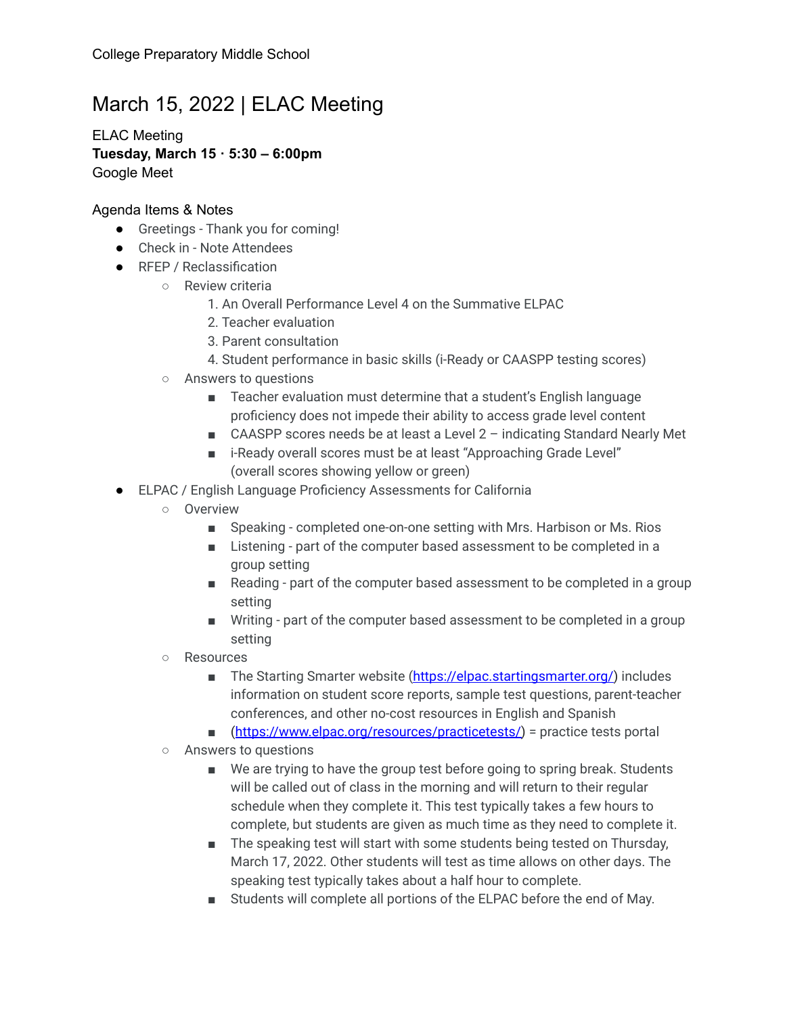## March 15, 2022 | ELAC Meeting

ELAC Meeting **Tuesday, March 15 · 5:30 – 6:00pm** Google Meet

## Agenda Items & Notes

- Greetings Thank you for coming!
- Check in Note Attendees
- RFEP / Reclassification
	- Review criteria
		- 1. An Overall Performance Level 4 on the Summative ELPAC
		- 2. Teacher evaluation
		- 3. Parent consultation
		- 4. Student performance in basic skills (i-Ready or CAASPP testing scores)
	- Answers to questions
		- Teacher evaluation must determine that a student's English language proficiency does not impede their ability to access grade level content
		- CAASPP scores needs be at least a Level 2 indicating Standard Nearly Met
		- i-Ready overall scores must be at least "Approaching Grade Level" (overall scores showing yellow or green)
- ELPAC / English Language Proficiency Assessments for California
	- Overview
		- Speaking completed one-on-one setting with Mrs. Harbison or Ms. Rios
		- Listening part of the computer based assessment to be completed in a group setting
		- Reading part of the computer based assessment to be completed in a group setting
		- Writing part of the computer based assessment to be completed in a group setting
	- Resources
		- The Starting Smarter website [\(https://elpac.startingsmarter.org/\)](https://elpac.startingsmarter.org/) includes information on student score reports, sample test questions, parent-teacher conferences, and other no-cost resources in English and Spanish
		- ([https://www.elpac.org/resources/practicetests/\)](https://www.elpac.org/resources/practicetests/) = practice tests portal
	- Answers to questions
		- We are trying to have the group test before going to spring break. Students will be called out of class in the morning and will return to their regular schedule when they complete it. This test typically takes a few hours to complete, but students are given as much time as they need to complete it.
		- The speaking test will start with some students being tested on Thursday, March 17, 2022. Other students will test as time allows on other days. The speaking test typically takes about a half hour to complete.
		- Students will complete all portions of the ELPAC before the end of May.